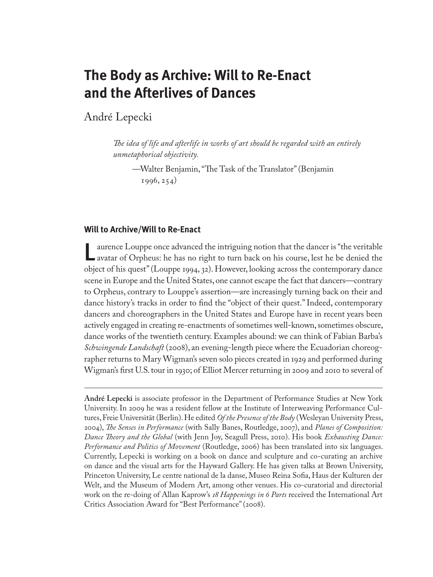# **The Body as Archive: Will to Re-Enact and the Afterlives of Dances**

André Lepecki

*The idea of life and afterlife in works of art should be regarded with an entirely unmetaphorical objectivity.*

—Walter Benjamin, "The Task of the Translator" (Benjamin 1996, 254)

# **Will to Archive/Will to Re-Enact**

Laurence Louppe once advanced the intriguing notion that the dancer is "the veritable avatar of Orpheus: he has no right to turn back on his course, lest he be denied the object of his quest" (Louppe 1994, 32). However, looking across the contemporary dance scene in Europe and the United States, one cannot escape the fact that dancers—contrary to Orpheus, contrary to Louppe's assertion—are increasingly turning back on their and dance history's tracks in order to find the "object of their quest." Indeed, contemporary dancers and choreographers in the United States and Europe have in recent years been actively engaged in creating re-enactments of sometimes well-known, sometimes obscure, dance works of the twentieth century. Examples abound: we can think of Fabian Barba's *Schwingende Landschaft* (2008), an evening-length piece where the Ecuadorian choreographer returns to Mary Wigman's seven solo pieces created in 1929 and performed during Wigman's first U.S. tour in 1930; of Elliot Mercer returning in 2009 and 2010 to several of

**André Lepecki** is associate professor in the Department of Performance Studies at New York University. In 2009 he was a resident fellow at the Institute of Interweaving Performance Cultures, Freie Universität (Berlin). He edited *Of the Presence of the Body* (Wesleyan University Press, 2004), *The Senses in Performance* (with Sally Banes, Routledge, 2007), and *Planes of Composition: Dance Theory and the Global* (with Jenn Joy, Seagull Press, 2010). His book *Exhausting Dance: Performance and Politics of Movement* (Routledge, 2006) has been translated into six languages. Currently, Lepecki is working on a book on dance and sculpture and co-curating an archive on dance and the visual arts for the Hayward Gallery. He has given talks at Brown University, Princeton University, Le centre national de la danse, Museo Reina Sofia, Haus der Kulturen der Welt, and the Museum of Modern Art, among other venues. His co-curatorial and directorial work on the re-doing of Allan Kaprow's *18 Happenings in 6 Parts* received the International Art Critics Association Award for "Best Performance" (2008).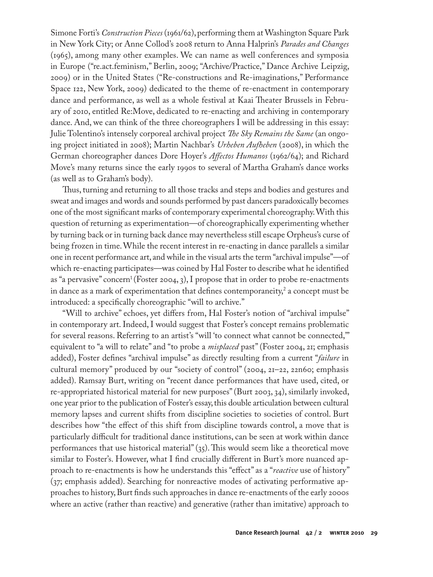Simone Forti's *Construction Pieces* (1961/62), performing them at Washington Square Park in New York City; or Anne Collod's 2008 return to Anna Halprin's *Parades and Changes* (1965), among many other examples. We can name as well conferences and symposia in Europe ("re.act.feminism," Berlin, 2009; "Archive/Practice," Dance Archive Leipzig, 2009) or in the United States ("Re-constructions and Re-imaginations," Performance Space 122, New York, 2009) dedicated to the theme of re-enactment in contemporary dance and performance, as well as a whole festival at Kaai Theater Brussels in February of 2010, entitled Re:Move, dedicated to re-enacting and archiving in contemporary dance. And, we can think of the three choreographers I will be addressing in this essay: Julie Tolentino's intensely corporeal archival project *The Sky Remains the Same* (an ongoing project initiated in 2008); Martin Nachbar's *Urheben Aufheben* (2008), in which the German choreographer dances Dore Hoyer's *Affectos Humanos* (1962/64); and Richard Move's many returns since the early 1990s to several of Martha Graham's dance works (as well as to Graham's body).

Thus, turning and returning to all those tracks and steps and bodies and gestures and sweat and images and words and sounds performed by past dancers paradoxically becomes one of the most significant marks of contemporary experimental choreography. With this question of returning as experimentation—of choreographically experimenting whether by turning back or in turning back dance may nevertheless still escape Orpheus's curse of being frozen in time. While the recent interest in re-enacting in dance parallels a similar one in recent performance art, and while in the visual arts the term "archival impulse"—of which re-enacting participates—was coined by Hal Foster to describe what he identified as "a pervasive" concern<sup>1</sup> (Foster 2004, 3), I propose that in order to probe re-enactments in dance as a mark of experimentation that defines contemporaneity, $\alpha^2$  a concept must be introduced: a specifically choreographic "will to archive."

"Will to archive" echoes, yet differs from, Hal Foster's notion of "archival impulse" in contemporary art. Indeed, I would suggest that Foster's concept remains problematic for several reasons. Referring to an artist's "will 'to connect what cannot be connected,'" equivalent to "a will to relate" and "to probe a *misplaced* past" (Foster 2004, 21; emphasis added), Foster defines "archival impulse" as directly resulting from a current "*failure* in cultural memory" produced by our "society of control" (2004, 21–22, 22n60; emphasis added). Ramsay Burt, writing on "recent dance performances that have used, cited, or re-appropriated historical material for new purposes" (Burt 2003, 34), similarly invoked, one year prior to the publication of Foster's essay, this double articulation between cultural memory lapses and current shifts from discipline societies to societies of control. Burt describes how "the effect of this shift from discipline towards control, a move that is particularly difficult for traditional dance institutions, can be seen at work within dance performances that use historical material" (35). This would seem like a theoretical move similar to Foster's. However, what I find crucially different in Burt's more nuanced approach to re-enactments is how he understands this "effect" as a "*reactive* use of history" (37; emphasis added). Searching for nonreactive modes of activating performative approaches to history, Burt finds such approaches in dance re-enactments of the early 2000s where an active (rather than reactive) and generative (rather than imitative) approach to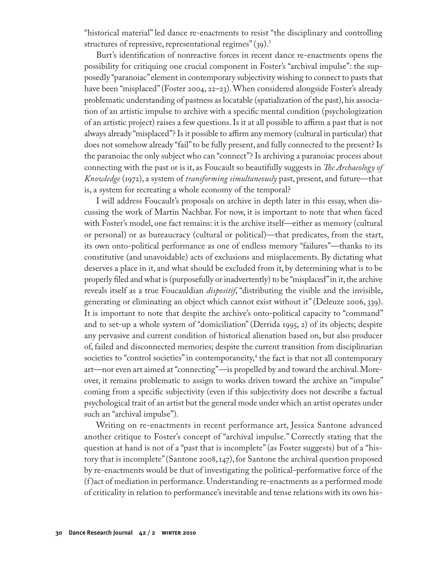"historical material" led dance re-enactments to resist "the disciplinary and controlling structures of repressive, representational regimes" (39).<sup>3</sup>

Burt's identification of nonreactive forces in recent dance re-enactments opens the possibility for critiquing one crucial component in Foster's "archival impulse": the supposedly "paranoiac" element in contemporary subjectivity wishing to connect to pasts that have been "misplaced" (Foster 2004, 22–23). When considered alongside Foster's already problematic understanding of pastness as locatable (spatialization of the past), his association of an artistic impulse to archive with a specific mental condition (psychologization of an artistic project) raises a few questions. Is it at all possible to affirm a past that is not always already "misplaced"? Is it possible to affirm any memory (cultural in particular) that does not somehow already "fail" to be fully present, and fully connected to the present? Is the paranoiac the only subject who can "connect"? Is archiving a paranoiac process about connecting with the past or is it, as Foucault so beautifully suggests in *The Archaeology of Knowledge* (1972), a system of *transforming simultaneously* past, present, and future—that is, a system for recreating a whole economy of the temporal?

I will address Foucault's proposals on archive in depth later in this essay, when discussing the work of Martin Nachbar. For now, it is important to note that when faced with Foster's model, one fact remains: it is the archive itself—either as memory (cultural or personal) or as bureaucracy (cultural or political)—that predicates, from the start, its own onto-political performance as one of endless memory "failures"—thanks to its constitutive (and unavoidable) acts of exclusions and misplacements. By dictating what deserves a place in it, and what should be excluded from it, by determining what is to be properly filed and what is (purposefully or inadvertently) to be "misplaced" in it, the archive reveals itself as a true Foucauldian *dispositif*, "distributing the visible and the invisible, generating or eliminating an object which cannot exist without it" (Deleuze 2006, 339). It is important to note that despite the archive's onto-political capacity to "command" and to set-up a whole system of "domiciliation" (Derrida 1995, 2) of its objects; despite any pervasive and current condition of historical alienation based on, but also producer of, failed and disconnected memories; despite the current transition from disciplinarian societies to "control societies" in contemporaneity,<sup>4</sup> the fact is that not all contemporary art—nor even art aimed at "connecting"—is propelled by and toward the archival. Moreover, it remains problematic to assign to works driven toward the archive an "impulse" coming from a specific subjectivity (even if this subjectivity does not describe a factual psychological trait of an artist but the general mode under which an artist operates under such an "archival impulse").

Writing on re-enactments in recent performance art, Jessica Santone advanced another critique to Foster's concept of "archival impulse." Correctly stating that the question at hand is not of a "past that is incomplete" (as Foster suggests) but of a "history that is incomplete" (Santone 2008, 147), for Santone the archival question proposed by re-enactments would be that of investigating the political-performative force of the (f )act of mediation in performance. Understanding re-enactments as a performed mode of criticality in relation to performance's inevitable and tense relations with its own his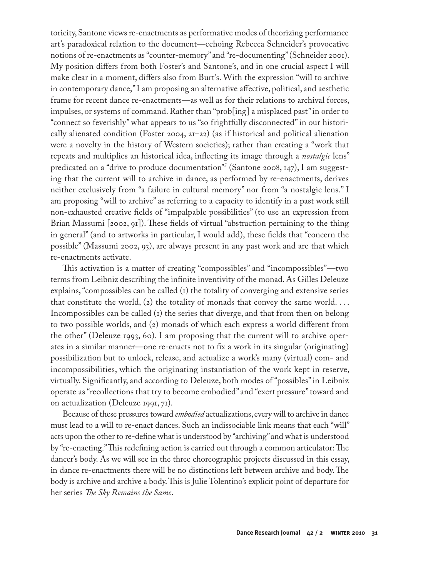toricity, Santone views re-enactments as performative modes of theorizing performance art's paradoxical relation to the document—echoing Rebecca Schneider's provocative notions of re-enactments as "counter-memory" and "re-documenting" (Schneider 2001). My position differs from both Foster's and Santone's, and in one crucial aspect I will make clear in a moment, differs also from Burt's. With the expression "will to archive in contemporary dance," I am proposing an alternative affective, political, and aesthetic frame for recent dance re-enactments—as well as for their relations to archival forces, impulses, or systems of command. Rather than "prob[ing] a misplaced past" in order to "connect so feverishly" what appears to us "so frightfully disconnected" in our historically alienated condition (Foster 2004, 21–22) (as if historical and political alienation were a novelty in the history of Western societies); rather than creating a "work that repeats and multiplies an historical idea, inflecting its image through a *nostalgic* lens" predicated on a "drive to produce documentation"5 (Santone 2008, 147), I am suggesting that the current will to archive in dance, as performed by re-enactments, derives neither exclusively from "a failure in cultural memory" nor from "a nostalgic lens." I am proposing "will to archive" as referring to a capacity to identify in a past work still non-exhausted creative fields of "impalpable possibilities" (to use an expression from Brian Massumi [2002, 91]). These fields of virtual "abstraction pertaining to the thing in general" (and to artworks in particular, I would add), these fields that "concern the possible" (Massumi 2002, 93), are always present in any past work and are that which re-enactments activate.

This activation is a matter of creating "compossibles" and "incompossibles"—two terms from Leibniz describing the infinite inventivity of the monad. As Gilles Deleuze explains, "compossibles can be called  $(i)$  the totality of converging and extensive series that constitute the world, (2) the totality of monads that convey the same world.... Incompossibles can be called  $(i)$  the series that diverge, and that from then on belong to two possible worlds, and (2) monads of which each express a world different from the other" (Deleuze 1993, 60). I am proposing that the current will to archive operates in a similar manner—one re-enacts not to fix a work in its singular (originating) possibilization but to unlock, release, and actualize a work's many (virtual) com- and incompossibilities, which the originating instantiation of the work kept in reserve, virtually. Significantly, and according to Deleuze, both modes of "possibles" in Leibniz operate as "recollections that try to become embodied" and "exert pressure" toward and on actualization (Deleuze 1991, 71).

Because of these pressures toward *embodied* actualizations, every will to archive in dance must lead to a will to re-enact dances. Such an indissociable link means that each "will" acts upon the other to re-define what is understood by "archiving" and what is understood by "re-enacting." This redefining action is carried out through a common articulator: The dancer's body. As we will see in the three choreographic projects discussed in this essay, in dance re-enactments there will be no distinctions left between archive and body. The body is archive and archive a body. This is Julie Tolentino's explicit point of departure for her series *The Sky Remains the Same*.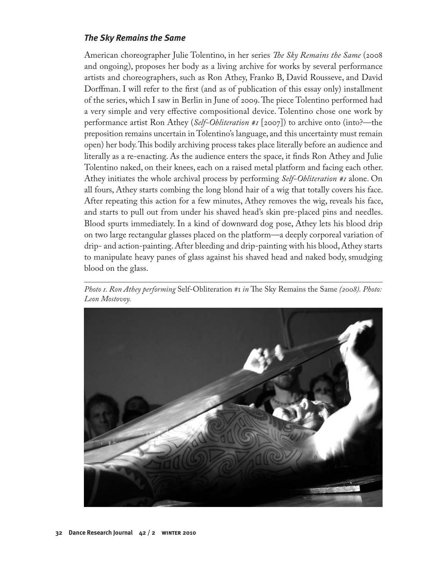# *The Sky Remains the Same*

American choreographer Julie Tolentino, in her series *The Sky Remains the Same* (2008 and ongoing), proposes her body as a living archive for works by several performance artists and choreographers, such as Ron Athey, Franko B, David Rousseve, and David Dorffman. I will refer to the first (and as of publication of this essay only) installment of the series, which I saw in Berlin in June of 2009. The piece Tolentino performed had a very simple and very effective compositional device. Tolentino chose one work by performance artist Ron Athey (*Self-Obliteration #1* [2007]) to archive onto (into?—the preposition remains uncertain in Tolentino's language, and this uncertainty must remain open) her body. This bodily archiving process takes place literally before an audience and literally as a re-enacting. As the audience enters the space, it finds Ron Athey and Julie Tolentino naked, on their knees, each on a raised metal platform and facing each other. Athey initiates the whole archival process by performing *Self-Obliteration #1* alone. On all fours, Athey starts combing the long blond hair of a wig that totally covers his face. After repeating this action for a few minutes, Athey removes the wig, reveals his face, and starts to pull out from under his shaved head's skin pre-placed pins and needles. Blood spurts immediately. In a kind of downward dog pose, Athey lets his blood drip on two large rectangular glasses placed on the platform—a deeply corporeal variation of drip- and action-painting. After bleeding and drip-painting with his blood, Athey starts to manipulate heavy panes of glass against his shaved head and naked body, smudging blood on the glass.

*Photo 1. Ron Athey performing* Self-Obliteration #1 *in* The Sky Remains the Same *(2008). Photo: Leon Mostovoy.*

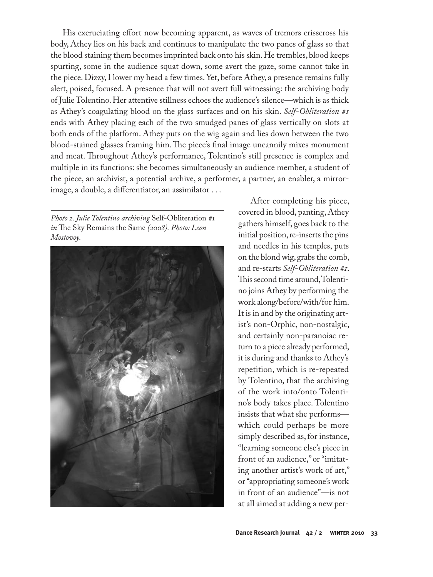His excruciating effort now becoming apparent, as waves of tremors crisscross his body, Athey lies on his back and continues to manipulate the two panes of glass so that the blood staining them becomes imprinted back onto his skin. He trembles, blood keeps spurting, some in the audience squat down, some avert the gaze, some cannot take in the piece. Dizzy, I lower my head a few times. Yet, before Athey, a presence remains fully alert, poised, focused. A presence that will not avert full witnessing: the archiving body of Julie Tolentino. Her attentive stillness echoes the audience's silence—which is as thick as Athey's coagulating blood on the glass surfaces and on his skin. *Self-Obliteration #1* ends with Athey placing each of the two smudged panes of glass vertically on slots at both ends of the platform. Athey puts on the wig again and lies down between the two blood-stained glasses framing him. The piece's final image uncannily mixes monument and meat. Throughout Athey's performance, Tolentino's still presence is complex and multiple in its functions: she becomes simultaneously an audience member, a student of the piece, an archivist, a potential archive, a performer, a partner, an enabler, a mirrorimage, a double, a differentiator, an assimilator . . .

*Photo 2. Julie Tolentino archiving* Self-Obliteration #1 *in* The Sky Remains the Same *(2008). Photo: Leon Mostovoy.*



After completing his piece, covered in blood, panting, Athey gathers himself, goes back to the initial position, re-inserts the pins and needles in his temples, puts on the blond wig, grabs the comb, and re-starts *Self-Obliteration #1*. This second time around, Tolentino joins Athey by performing the work along/before/with/for him. It is in and by the originating artist's non-Orphic, non-nostalgic, and certainly non-paranoiac return to a piece already performed, it is during and thanks to Athey's repetition, which is re-repeated by Tolentino, that the archiving of the work into/onto Tolentino's body takes place. Tolentino insists that what she performs which could perhaps be more simply described as, for instance, "learning someone else's piece in front of an audience," or "imitating another artist's work of art," or "appropriating someone's work in front of an audience"—is not at all aimed at adding a new per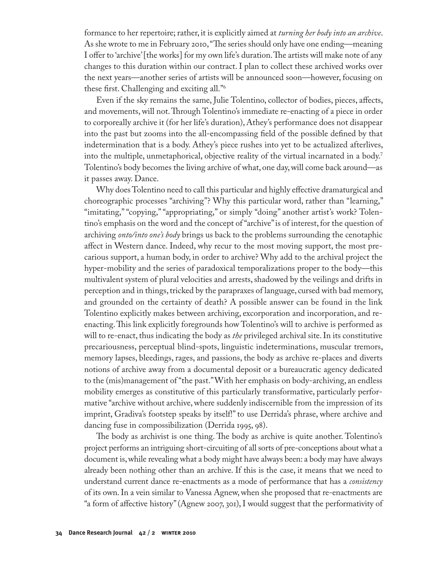formance to her repertoire; rather, it is explicitly aimed at *turning her body into an archive*. As she wrote to me in February 2010, "The series should only have one ending—meaning I offer to 'archive' [the works] for my own life's duration. The artists will make note of any changes to this duration within our contract. I plan to collect these archived works over the next years—another series of artists will be announced soon—however, focusing on these first. Challenging and exciting all."6

Even if the sky remains the same, Julie Tolentino, collector of bodies, pieces, affects, and movements, will not. Through Tolentino's immediate re-enacting of a piece in order to corporeally archive it (for her life's duration), Athey's performance does not disappear into the past but zooms into the all-encompassing field of the possible defined by that indetermination that is a body. Athey's piece rushes into yet to be actualized afterlives, into the multiple, unmetaphorical, objective reality of the virtual incarnated in a body.7 Tolentino's body becomes the living archive of what, one day, will come back around—as it passes away. Dance.

Why does Tolentino need to call this particular and highly effective dramaturgical and choreographic processes "archiving"? Why this particular word, rather than "learning," "imitating," "copying," "appropriating," or simply "doing" another artist's work? Tolentino's emphasis on the word and the concept of "archive" is of interest, for the question of archiving *onto/into one's body* brings us back to the problems surrounding the cenotaphic affect in Western dance. Indeed, why recur to the most moving support, the most precarious support, a human body, in order to archive? Why add to the archival project the hyper-mobility and the series of paradoxical temporalizations proper to the body—this multivalent system of plural velocities and arrests, shadowed by the veilings and drifts in perception and in things, tricked by the parapraxes of language, cursed with bad memory, and grounded on the certainty of death? A possible answer can be found in the link Tolentino explicitly makes between archiving, excorporation and incorporation, and reenacting. This link explicitly foregrounds how Tolentino's will to archive is performed as will to re-enact, thus indicating the body as *the* privileged archival site. In its constitutive precariousness, perceptual blind-spots, linguistic indeterminations, muscular tremors, memory lapses, bleedings, rages, and passions, the body as archive re-places and diverts notions of archive away from a documental deposit or a bureaucratic agency dedicated to the (mis)management of "the past." With her emphasis on body-archiving, an endless mobility emerges as constitutive of this particularly transformative, particularly performative "archive without archive, where suddenly indiscernible from the impression of its imprint, Gradiva's footstep speaks by itself!" to use Derrida's phrase, where archive and dancing fuse in compossibilization (Derrida 1995, 98).

The body as archivist is one thing. The body as archive is quite another. Tolentino's project performs an intriguing short-circuiting of all sorts of pre-conceptions about what a document is, while revealing what a body might have always been: a body may have always already been nothing other than an archive. If this is the case, it means that we need to understand current dance re-enactments as a mode of performance that has a *consistency* of its own. In a vein similar to Vanessa Agnew, when she proposed that re-enactments are "a form of affective history" (Agnew 2007, 301), I would suggest that the performativity of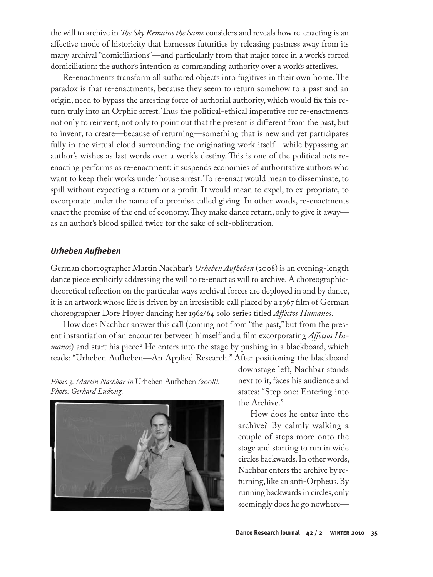the will to archive in *The Sky Remains the Same* considers and reveals how re-enacting is an affective mode of historicity that harnesses futurities by releasing pastness away from its many archival "domiciliations"—and particularly from that major force in a work's forced domiciliation: the author's intention as commanding authority over a work's afterlives.

Re-enactments transform all authored objects into fugitives in their own home. The paradox is that re-enactments, because they seem to return somehow to a past and an origin, need to bypass the arresting force of authorial authority, which would fix this return truly into an Orphic arrest. Thus the political-ethical imperative for re-enactments not only to reinvent, not only to point out that the present is different from the past, but to invent, to create—because of returning—something that is new and yet participates fully in the virtual cloud surrounding the originating work itself—while bypassing an author's wishes as last words over a work's destiny. This is one of the political acts reenacting performs as re-enactment: it suspends economies of authoritative authors who want to keep their works under house arrest. To re-enact would mean to disseminate, to spill without expecting a return or a profit. It would mean to expel, to ex-propriate, to excorporate under the name of a promise called giving. In other words, re-enactments enact the promise of the end of economy. They make dance return, only to give it away as an author's blood spilled twice for the sake of self-obliteration.

#### *Urheben Aufheben*

German choreographer Martin Nachbar's *Urheben Aufheben* (2008) is an evening-length dance piece explicitly addressing the will to re-enact as will to archive. A choreographictheoretical reflection on the particular ways archival forces are deployed in and by dance, it is an artwork whose life is driven by an irresistible call placed by a 1967 film of German choreographer Dore Hoyer dancing her 1962/64 solo series titled *Affectos Humanos*.

How does Nachbar answer this call (coming not from "the past," but from the present instantiation of an encounter between himself and a film excorporating *Affectos Humanos*) and start his piece? He enters into the stage by pushing in a blackboard, which reads: "Urheben Aufheben—An Applied Research." After positioning the blackboard

*Photo 3. Martin Nachbar in* Urheben Aufheben *(2008). Photo: Gerhard Ludwig.*



downstage left, Nachbar stands next to it, faces his audience and states: "Step one: Entering into the Archive."

How does he enter into the archive? By calmly walking a couple of steps more onto the stage and starting to run in wide circles backwards. In other words, Nachbar enters the archive by returning, like an anti-Orpheus. By running backwards in circles, only seemingly does he go nowhere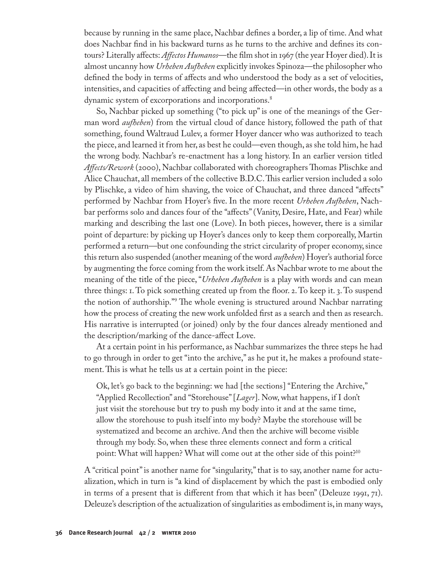because by running in the same place, Nachbar defines a border, a lip of time. And what does Nachbar find in his backward turns as he turns to the archive and defines its contours? Literally affects: *Affectos Humanos*—the film shot in 1967 (the year Hoyer died). It is almost uncanny how *Urheben Aufheben* explicitly invokes Spinoza—the philosopher who defined the body in terms of affects and who understood the body as a set of velocities, intensities, and capacities of affecting and being affected—in other words, the body as a dynamic system of excorporations and incorporations.<sup>8</sup>

So, Nachbar picked up something ("to pick up" is one of the meanings of the German word *aufheben*) from the virtual cloud of dance history, followed the path of that something, found Waltraud Lulev, a former Hoyer dancer who was authorized to teach the piece, and learned it from her, as best he could—even though, as she told him, he had the wrong body. Nachbar's re-enactment has a long history. In an earlier version titled *Affects/Rework* (2000), Nachbar collaborated with choreographers Thomas Plischke and Alice Chauchat, all members of the collective B.D.C. This earlier version included a solo by Plischke, a video of him shaving, the voice of Chauchat, and three danced "affects" performed by Nachbar from Hoyer's five. In the more recent *Urheben Aufheben*, Nachbar performs solo and dances four of the "affects" (Vanity, Desire, Hate, and Fear) while marking and describing the last one (Love). In both pieces, however, there is a similar point of departure: by picking up Hoyer's dances only to keep them corporeally, Martin performed a return—but one confounding the strict circularity of proper economy, since this return also suspended (another meaning of the word *aufheben*) Hoyer's authorial force by augmenting the force coming from the work itself. As Nachbar wrote to me about the meaning of the title of the piece, "*Urheben Aufheben* is a play with words and can mean three things: 1. To pick something created up from the floor. 2. To keep it. 3. To suspend the notion of authorship."9 The whole evening is structured around Nachbar narrating how the process of creating the new work unfolded first as a search and then as research. His narrative is interrupted (or joined) only by the four dances already mentioned and the description/marking of the dance-affect Love.

At a certain point in his performance, as Nachbar summarizes the three steps he had to go through in order to get "into the archive," as he put it, he makes a profound statement. This is what he tells us at a certain point in the piece:

Ok, let's go back to the beginning: we had [the sections] "Entering the Archive," "Applied Recollection" and "Storehouse" [*Lager*]. Now, what happens, if I don't just visit the storehouse but try to push my body into it and at the same time, allow the storehouse to push itself into my body? Maybe the storehouse will be systematized and become an archive. And then the archive will become visible through my body. So, when these three elements connect and form a critical point: What will happen? What will come out at the other side of this point?10

A "critical point" is another name for "singularity," that is to say, another name for actualization, which in turn is "a kind of displacement by which the past is embodied only in terms of a present that is different from that which it has been" (Deleuze 1991, 71). Deleuze's description of the actualization of singularities as embodiment is, in many ways,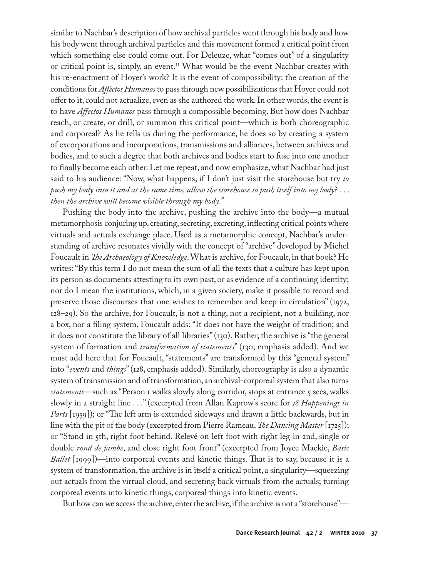similar to Nachbar's description of how archival particles went through his body and how his body went through archival particles and this movement formed a critical point from which something else could come out. For Deleuze, what "comes out" of a singularity or critical point is, simply, an event.<sup>11</sup> What would be the event Nachbar creates with his re-enactment of Hoyer's work? It is the event of compossibility: the creation of the conditions for *Affectos Humanos* to pass through new possibilizations that Hoyer could not offer to it, could not actualize, even as she authored the work. In other words, the event is to have *Affectos Humanos* pass through a compossible becoming. But how does Nachbar reach, or create, or drill, or summon this critical point—which is both choreographic and corporeal? As he tells us during the performance, he does so by creating a system of excorporations and incorporations, transmissions and alliances, between archives and bodies, and to such a degree that both archives and bodies start to fuse into one another to finally become each other. Let me repeat, and now emphasize, what Nachbar had just said to his audience: "Now, what happens, if I don't just visit the storehouse but try *to push my body into it and at the same time, allow the storehouse to push itself into my body*? . . . *then the archive will become visible through my body*."

Pushing the body into the archive, pushing the archive into the body—a mutual metamorphosis conjuring up, creating, secreting, excreting, inflecting critical points where virtuals and actuals exchange place. Used as a metamorphic concept, Nachbar's understanding of archive resonates vividly with the concept of "archive" developed by Michel Foucault in *The Archaeology of Knowledge*. What is archive, for Foucault, in that book? He writes: "By this term I do not mean the sum of all the texts that a culture has kept upon its person as documents attesting to its own past, or as evidence of a continuing identity; nor do I mean the institutions, which, in a given society, make it possible to record and preserve those discourses that one wishes to remember and keep in circulation" (1972, 128–29). So the archive, for Foucault, is not a thing, not a recipient, not a building, nor a box, nor a filing system. Foucault adds: "It does not have the weight of tradition; and it does not constitute the library of all libraries" (130). Rather, the archive is "the general system of formation and *transformation of statements*" (130; emphasis added). And we must add here that for Foucault, "statements" are transformed by this "general system" into "*events* and *things*" (128, emphasis added). Similarly, choreography is also a dynamic system of transmission and of transformation, an archival-corporeal system that also turns *statements*—such as "Person 1 walks slowly along corridor, stops at entrance 5 secs, walks slowly in a straight line . . ." (excerpted from Allan Kaprow's score for *18 Happenings in Parts* [1959]); or "The left arm is extended sideways and drawn a little backwards, but in line with the pit of the body (excerpted from Pierre Rameau, *The Dancing Master* [1725]); or "Stand in 5th, right foot behind. Relevé on left foot with right leg in 2nd, single or double *rond de jambe*, and close right foot front" (excerpted from Joyce Mackie, *Basic Ballet* [1999])—into corporeal events and kinetic things. That is to say, because it is a system of transformation, the archive is in itself a critical point, a singularity—squeezing out actuals from the virtual cloud, and secreting back virtuals from the actuals; turning corporeal events into kinetic things, corporeal things into kinetic events.

But how can we access the archive, enter the archive, if the archive is not a "storehouse"—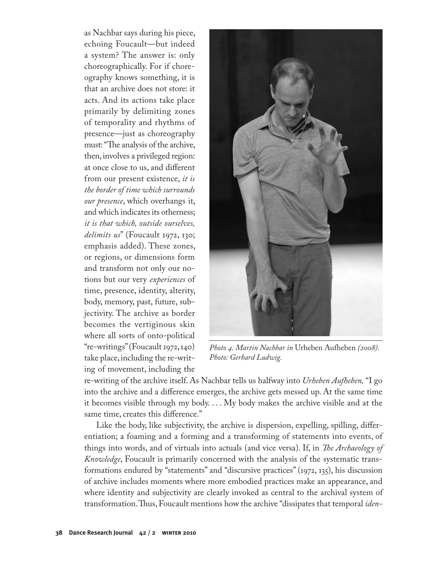as Nachbar says during his piece, echoing Foucault—but indeed a system? The answer is: only choreographically. For if choreography knows something, it is that an archive does not store: it acts. And its actions take place primarily by delimiting zones of temporality and rhythms of presence—just as choreography must: "The analysis of the archive, then, involves a privileged region: at once close to us, and different from our present existence, *it is the border of time which surrounds our presence*, which overhangs it, and which indicates its otherness; *it is that which, outside ourselves, delimits us*" (Foucault 1972, 130; emphasis added). These zones, or regions, or dimensions form and transform not only our notions but our very *experiences* of time, presence, identity, alterity, body, memory, past, future, subjectivity. The archive as border becomes the vertiginous skin where all sorts of onto-political "re-writings" (Foucault 1972, 140) take place, including the re-writing of movement, including the



*Photo 4. Martin Nachbar in* Urheben Aufheben *(2008). Photo: Gerhard Ludwig.*

re-writing of the archive itself. As Nachbar tells us halfway into *Urheben Aufheben,* "I go into the archive and a difference emerges, the archive gets messed up. At the same time it becomes visible through my body. . . . My body makes the archive visible and at the same time, creates this difference."

Like the body, like subjectivity, the archive is dispersion, expelling, spilling, differentiation; a foaming and a forming and a transforming of statements into events, of things into words, and of virtuals into actuals (and vice versa). If, in *The Archaeology of Knowledge*, Foucault is primarily concerned with the analysis of the systematic transformations endured by "statements" and "discursive practices" (1972, 135), his discussion of archive includes moments where more embodied practices make an appearance, and where identity and subjectivity are clearly invoked as central to the archival system of transformation. Thus, Foucault mentions how the archive "dissipates that temporal *iden-*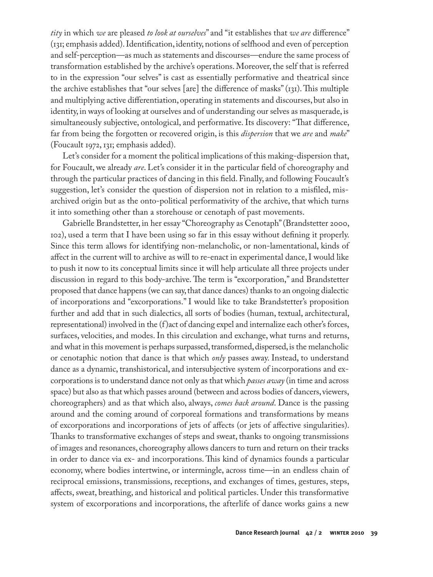*tity* in which *we* are pleased *to look at ourselves*" and "it establishes that *we are* difference" (131; emphasis added). Identification, identity, notions of selfhood and even of perception and self-perception—as much as statements and discourses—endure the same process of transformation established by the archive's operations. Moreover, the self that is referred to in the expression "our selves" is cast as essentially performative and theatrical since the archive establishes that "our selves [are] the difference of masks" (131). This multiple and multiplying active differentiation, operating in statements and discourses, but also in identity, in ways of looking at ourselves and of understanding our selves as masquerade, is simultaneously subjective, ontological, and performative. Its discovery: "That difference, far from being the forgotten or recovered origin, is this *dispersion* that we *are* and *make*" (Foucault 1972, 131; emphasis added).

Let's consider for a moment the political implications of this making-dispersion that, for Foucault, we already *are*. Let's consider it in the particular field of choreography and through the particular practices of dancing in this field. Finally, and following Foucault's suggestion, let's consider the question of dispersion not in relation to a misfiled, misarchived origin but as the onto-political performativity of the archive, that which turns it into something other than a storehouse or cenotaph of past movements.

Gabrielle Brandstetter, in her essay "Choreography as Cenotaph" (Brandstetter 2000, 102), used a term that I have been using so far in this essay without defining it properly. Since this term allows for identifying non-melancholic, or non-lamentational, kinds of affect in the current will to archive as will to re-enact in experimental dance, I would like to push it now to its conceptual limits since it will help articulate all three projects under discussion in regard to this body-archive. The term is "excorporation," and Brandstetter proposed that dance happens (we can say, that dance dances) thanks to an ongoing dialectic of incorporations and "excorporations." I would like to take Brandstetter's proposition further and add that in such dialectics, all sorts of bodies (human, textual, architectural, representational) involved in the (f)act of dancing expel and internalize each other's forces, surfaces, velocities, and modes. In this circulation and exchange, what turns and returns, and what in this movement is perhaps surpassed, transformed, dispersed, is the melancholic or cenotaphic notion that dance is that which *only* passes away. Instead, to understand dance as a dynamic, transhistorical, and intersubjective system of incorporations and excorporations is to understand dance not only as that which *passes away* (in time and across space) but also as that which passes around (between and across bodies of dancers, viewers, choreographers) and as that which also, always, *comes back around*. Dance is the passing around and the coming around of corporeal formations and transformations by means of excorporations and incorporations of jets of affects (or jets of affective singularities). Thanks to transformative exchanges of steps and sweat, thanks to ongoing transmissions of images and resonances, choreography allows dancers to turn and return on their tracks in order to dance via ex- and incorporations. This kind of dynamics founds a particular economy, where bodies intertwine, or intermingle, across time—in an endless chain of reciprocal emissions, transmissions, receptions, and exchanges of times, gestures, steps, affects, sweat, breathing, and historical and political particles. Under this transformative system of excorporations and incorporations, the afterlife of dance works gains a new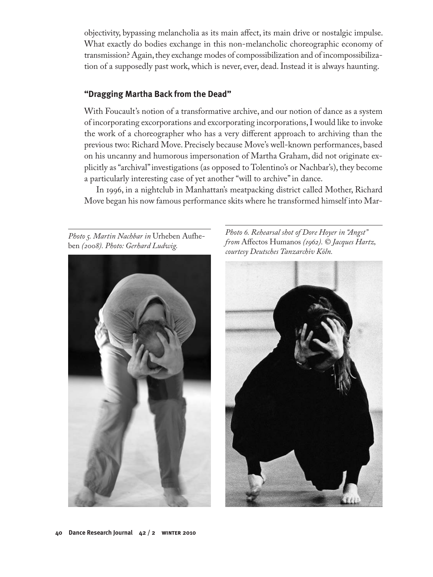objectivity, bypassing melancholia as its main affect, its main drive or nostalgic impulse. What exactly do bodies exchange in this non-melancholic choreographic economy of transmission? Again, they exchange modes of compossibilization and of incompossibilization of a supposedly past work, which is never, ever, dead. Instead it is always haunting.

# **"Dragging Martha Back from the Dead"**

With Foucault's notion of a transformative archive, and our notion of dance as a system of incorporating excorporations and excorporating incorporations, I would like to invoke the work of a choreographer who has a very different approach to archiving than the previous two: Richard Move. Precisely because Move's well-known performances, based on his uncanny and humorous impersonation of Martha Graham, did not originate explicitly as "archival" investigations (as opposed to Tolentino's or Nachbar's), they become a particularly interesting case of yet another "will to archive" in dance.

In 1996, in a nightclub in Manhattan's meatpacking district called Mother, Richard Move began his now famous performance skits where he transformed himself into Mar-

*Photo 5. Martin Nachbar in* Urheben Aufheben *(2008). Photo: Gerhard Ludwig.*



*Photo 6. Rehearsal shot of Dore Hoyer in "Angst" from* Affectos Humanos *(1962). © Jacques Hartz, courtesy Deutsches Tanzarchiv Köln.*

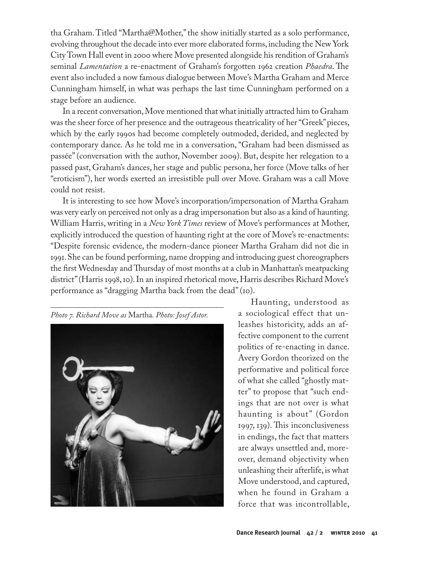tha Graham. Titled "Martha@Mother," the show initially started as a solo performance, evolving throughout the decade into ever more elaborated forms, including the New York City Town Hall event in 2000 where Move presented alongside his rendition of Graham's seminal *Lamentation* a re-enactment of Graham's forgotten 1962 creation *Phaedra*. The event also included a now famous dialogue between Move's Martha Graham and Merce Cunningham himself, in what was perhaps the last time Cunningham performed on a stage before an audience.

In a recent conversation, Move mentioned that what initially attracted him to Graham was the sheer force of her presence and the outrageous theatricality of her "Greek" pieces, which by the early 1990s had become completely outmoded, derided, and neglected by contemporary dance. As he told me in a conversation, "Graham had been dismissed as passée" (conversation with the author, November 2009). But, despite her relegation to a passed past, Graham's dances, her stage and public persona, her force (Move talks of her "eroticism"), her words exerted an irresistible pull over Move. Graham was a call Move could not resist.

It is interesting to see how Move's incorporation/impersonation of Martha Graham was very early on perceived not only as a drag impersonation but also as a kind of haunting. William Harris, writing in a *New York Times* review of Move's performances at Mother, explicitly introduced the question of haunting right at the core of Move's re-enactments: "Despite forensic evidence, the modern-dance pioneer Martha Graham did not die in 1991. She can be found performing, name dropping and introducing guest choreographers the first Wednesday and Thursday of most months at a club in Manhattan's meatpacking district" (Harris 1998, 10). In an inspired rhetorical move, Harris describes Richard Move's performance as "dragging Martha back from the dead" (10).

*Photo 7. Richard Move as* Martha*. Photo: Josef Astor.*



Haunting, understood as a sociological effect that unleashes historicity, adds an affective component to the current politics of re-enacting in dance. Avery Gordon theorized on the performative and political force of what she called "ghostly matter" to propose that "such endings that are not over is what haunting is about" (Gordon 1997, 139). This inconclusiveness in endings, the fact that matters are always unsettled and, moreover, demand objectivity when unleashing their afterlife, is what Move understood, and captured, when he found in Graham a force that was incontrollable,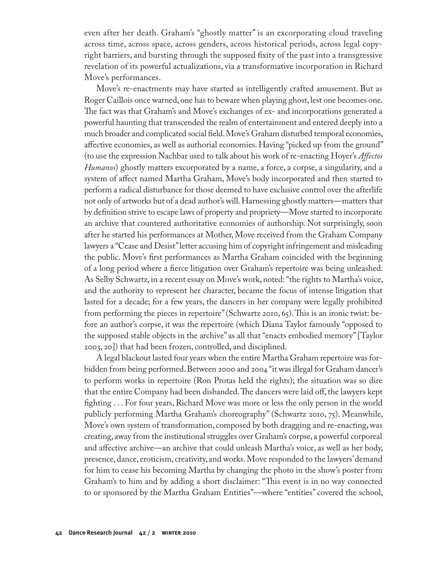even after her death. Graham's "ghostly matter" is an excorporating cloud traveling across time, across space, across genders, across historical periods, across legal copyright barriers, and bursting through the supposed fixity of the past into a transgressive revelation of its powerful actualizations, via a transformative incorporation in Richard Move's performances.

Move's re-enactments may have started as intelligently crafted amusement. But as Roger Caillois once warned, one has to beware when playing ghost, lest one becomes one. The fact was that Graham's and Move's exchanges of ex- and incorporations generated a powerful haunting that transcended the realm of entertainment and entered deeply into a much broader and complicated social field. Move's Graham disturbed temporal economies, affective economies, as well as authorial economies. Having "picked up from the ground" (to use the expression Nachbar used to talk about his work of re-enacting Hoyer's *Affectos Humanos*) ghostly matters excorporated by a name, a force, a corpse, a singularity, and a system of affect named Martha Graham, Move's body incorporated and then started to perform a radical disturbance for those deemed to have exclusive control over the afterlife not only of artworks but of a dead author's will. Harnessing ghostly matters—matters that by definition strive to escape laws of property and propriety—Move started to incorporate an archive that countered authoritative economies of authorship. Not surprisingly, soon after he started his performances at Mother, Move received from the Graham Company lawyers a "Cease and Desist" letter accusing him of copyright infringement and misleading the public. Move's first performances as Martha Graham coincided with the beginning of a long period where a fierce litigation over Graham's repertoire was being unleashed. As Selby Schwartz, in a recent essay on Move's work, noted: "the rights to Martha's voice, and the authority to represent her character, became the focus of intense litigation that lasted for a decade; for a few years, the dancers in her company were legally prohibited from performing the pieces in repertoire" (Schwartz 2010, 65). This is an ironic twist: before an author's corpse, it was the repertoire (which Diana Taylor famously "opposed to the supposed stable objects in the archive" as all that "enacts embodied memory" [Taylor 2003, 20]) that had been frozen, controlled, and disciplined.

A legal blackout lasted four years when the entire Martha Graham repertoire was forbidden from being performed. Between 2000 and 2004 "it was illegal for Graham dancer's to perform works in repertoire (Ron Protas held the rights); the situation was so dire that the entire Company had been disbanded. The dancers were laid off, the lawyers kept fighting . . . For four years, Richard Move was more or less the only person in the world publicly performing Martha Graham's choreography" (Schwartz 2010, 75). Meanwhile, Move's own system of transformation, composed by both dragging and re-enacting, was creating, away from the institutional struggles over Graham's corpse, a powerful corporeal and affective archive—an archive that could unleash Martha's voice, as well as her body, presence, dance, eroticism, creativity, and works. Move responded to the lawyers' demand for him to cease his becoming Martha by changing the photo in the show's poster from Graham's to him and by adding a short disclaimer: "This event is in no way connected to or sponsored by the Martha Graham Entities"—where "entities" covered the school,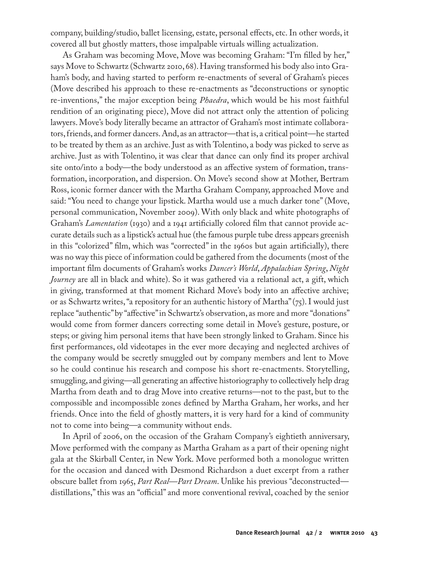company, building/studio, ballet licensing, estate, personal effects, etc. In other words, it covered all but ghostly matters, those impalpable virtuals willing actualization.

As Graham was becoming Move, Move was becoming Graham: "I'm filled by her," says Move to Schwartz (Schwartz 2010, 68). Having transformed his body also into Graham's body, and having started to perform re-enactments of several of Graham's pieces (Move described his approach to these re-enactments as "deconstructions or synoptic re-inventions," the major exception being *Phaedra*, which would be his most faithful rendition of an originating piece), Move did not attract only the attention of policing lawyers. Move's body literally became an attractor of Graham's most intimate collaborators, friends, and former dancers. And, as an attractor—that is, a critical point—he started to be treated by them as an archive. Just as with Tolentino, a body was picked to serve as archive. Just as with Tolentino, it was clear that dance can only find its proper archival site onto/into a body—the body understood as an affective system of formation, transformation, incorporation, and dispersion. On Move's second show at Mother, Bertram Ross, iconic former dancer with the Martha Graham Company, approached Move and said: "You need to change your lipstick. Martha would use a much darker tone" (Move, personal communication, November 2009). With only black and white photographs of Graham's *Lamentation* (1930) and a 1941 artificially colored film that cannot provide accurate details such as a lipstick's actual hue (the famous purple tube dress appears greenish in this "colorized" film, which was "corrected" in the 1960s but again artificially), there was no way this piece of information could be gathered from the documents (most of the important film documents of Graham's works *Dancer's World*, *Appalachian Spring*, *Night Journey* are all in black and white). So it was gathered via a relational act, a gift, which in giving, transformed at that moment Richard Move's body into an affective archive; or as Schwartz writes, "a repository for an authentic history of Martha" (75). I would just replace "authentic" by "affective" in Schwartz's observation, as more and more "donations" would come from former dancers correcting some detail in Move's gesture, posture, or steps; or giving him personal items that have been strongly linked to Graham. Since his first performances, old videotapes in the ever more decaying and neglected archives of the company would be secretly smuggled out by company members and lent to Move so he could continue his research and compose his short re-enactments. Storytelling, smuggling, and giving—all generating an affective historiography to collectively help drag Martha from death and to drag Move into creative returns—not to the past, but to the compossible and incompossible zones defined by Martha Graham, her works, and her friends. Once into the field of ghostly matters, it is very hard for a kind of community not to come into being—a community without ends.

In April of 2006, on the occasion of the Graham Company's eightieth anniversary, Move performed with the company as Martha Graham as a part of their opening night gala at the Skirball Center, in New York. Move performed both a monologue written for the occasion and danced with Desmond Richardson a duet excerpt from a rather obscure ballet from 1965, *Part Real—Part Dream*. Unlike his previous "deconstructed distillations," this was an "official" and more conventional revival, coached by the senior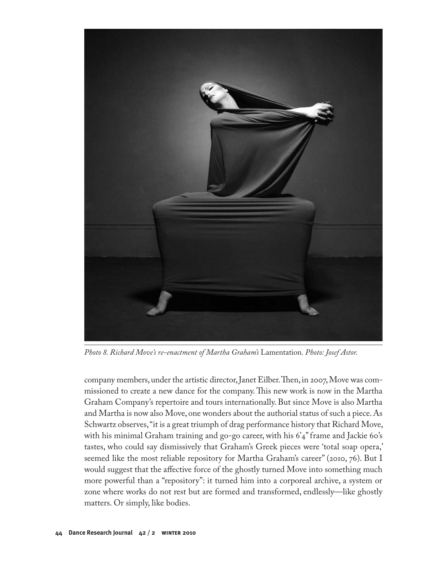

*Photo 8. Richard Move's re-enactment of Martha Graham's* Lamentation*. Photo: Josef Astor.* 

company members, under the artistic director, Janet Eilber. Then, in 2007, Move was commissioned to create a new dance for the company. This new work is now in the Martha Graham Company's repertoire and tours internationally. But since Move is also Martha and Martha is now also Move, one wonders about the authorial status of such a piece. As Schwartz observes, "it is a great triumph of drag performance history that Richard Move, with his minimal Graham training and go-go career, with his 6'4" frame and Jackie 60's tastes, who could say dismissively that Graham's Greek pieces were 'total soap opera,' seemed like the most reliable repository for Martha Graham's career" (2010, 76). But I would suggest that the affective force of the ghostly turned Move into something much more powerful than a "repository": it turned him into a corporeal archive, a system or zone where works do not rest but are formed and transformed, endlessly—like ghostly matters. Or simply, like bodies.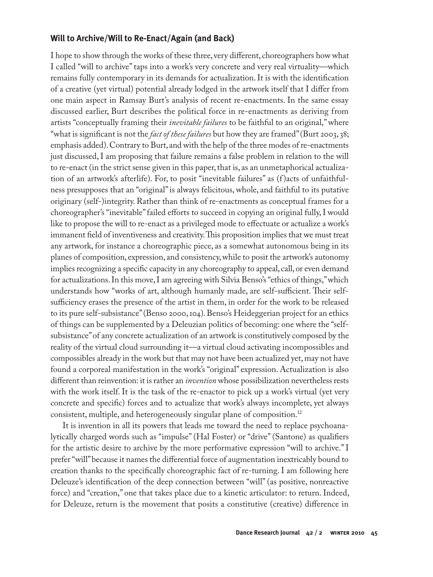### **Will to Archive/Will to Re-Enact/Again (and Back)**

I hope to show through the works of these three, very different, choreographers how what I called "will to archive" taps into a work's very concrete and very real virtuality—which remains fully contemporary in its demands for actualization. It is with the identification of a creative (yet virtual) potential already lodged in the artwork itself that I differ from one main aspect in Ramsay Burt's analysis of recent re-enactments. In the same essay discussed earlier, Burt describes the political force in re-enactments as deriving from artists "conceptually framing their *inevitable failures* to be faithful to an original," where "what is significant is not the *fact of these failures* but how they are framed" (Burt 2003, 38; emphasis added). Contrary to Burt, and with the help of the three modes of re-enactments just discussed, I am proposing that failure remains a false problem in relation to the will to re-enact (in the strict sense given in this paper, that is, as an unmetaphorical actualization of an artwork's afterlife). For, to posit "inevitable failures" as (f )acts of unfaithfulness presupposes that an "original" is always felicitous, whole, and faithful to its putative originary (self-)integrity. Rather than think of re-enactments as conceptual frames for a choreographer's "inevitable" failed efforts to succeed in copying an original fully, I would like to propose the will to re-enact as a privileged mode to effectuate or actualize a work's immanent field of inventiveness and creativity. This proposition implies that we must treat any artwork, for instance a choreographic piece, as a somewhat autonomous being in its planes of composition, expression, and consistency, while to posit the artwork's autonomy implies recognizing a specific capacity in any choreography to appeal, call, or even demand for actualizations. In this move, I am agreeing with Silvia Benso's "ethics of things," which understands how "works of art, although humanly made, are self-sufficient. Their selfsufficiency erases the presence of the artist in them, in order for the work to be released to its pure self-subsistance" (Benso 2000, 104). Benso's Heideggerian project for an ethics of things can be supplemented by a Deleuzian politics of becoming: one where the "selfsubsistance" of any concrete actualization of an artwork is constitutively composed by the reality of the virtual cloud surrounding it—a virtual cloud activating incompossibles and compossibles already in the work but that may not have been actualized yet, may not have found a corporeal manifestation in the work's "original" expression. Actualization is also different than reinvention: it is rather an *invention* whose possibilization nevertheless rests with the work itself. It is the task of the re-enactor to pick up a work's virtual (yet very concrete and specific) forces and to actualize that work's always incomplete, yet always consistent, multiple, and heterogeneously singular plane of composition.<sup>12</sup>

It is invention in all its powers that leads me toward the need to replace psychoanalytically charged words such as "impulse" (Hal Foster) or "drive" (Santone) as qualifiers for the artistic desire to archive by the more performative expression "will to archive." I prefer "will" because it names the differential force of augmentation inextricably bound to creation thanks to the specifically choreographic fact of re-turning. I am following here Deleuze's identification of the deep connection between "will" (as positive, nonreactive force) and "creation," one that takes place due to a kinetic articulator: to return. Indeed, for Deleuze, return is the movement that posits a constitutive (creative) difference in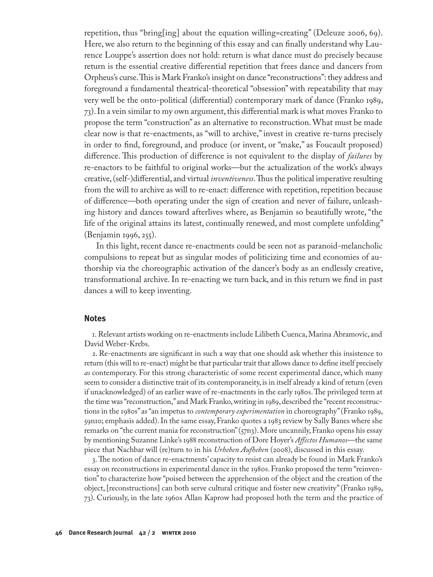repetition, thus "bring[ing] about the equation willing=creating" (Deleuze 2006, 69). Here, we also return to the beginning of this essay and can finally understand why Laurence Louppe's assertion does not hold: return is what dance must do precisely because return is the essential creative differential repetition that frees dance and dancers from Orpheus's curse. This is Mark Franko's insight on dance "reconstructions": they address and foreground a fundamental theatrical-theoretical "obsession" with repeatability that may very well be the onto-political (differential) contemporary mark of dance (Franko 1989, 73). In a vein similar to my own argument, this differential mark is what moves Franko to propose the term "construction" as an alternative to reconstruction. What must be made clear now is that re-enactments, as "will to archive," invest in creative re-turns precisely in order to find, foreground, and produce (or invent, or "make," as Foucault proposed) difference. This production of difference is not equivalent to the display of *failures* by re-enactors to be faithful to original works—but the actualization of the work's always creative, (self-)differential, and virtual *inventiveness*. Thus the political imperative resulting from the will to archive as will to re-enact: difference with repetition, repetition because of difference—both operating under the sign of creation and never of failure, unleashing history and dances toward afterlives where, as Benjamin so beautifully wrote, "the life of the original attains its latest, continually renewed, and most complete unfolding" (Benjamin 1996, 255).

In this light, recent dance re-enactments could be seen not as paranoid-melancholic compulsions to repeat but as singular modes of politicizing time and economies of authorship via the choreographic activation of the dancer's body as an endlessly creative, transformational archive. In re-enacting we turn back, and in this return we find in past dances a will to keep inventing.

#### **Notes**

1. Relevant artists working on re-enactments include Lilibeth Cuenca, Marina Abramovic, and David Weber-Krebs.

2. Re-enactments are significant in such a way that one should ask whether this insistence to return (this will to re-enact) might be that particular trait that allows dance to define itself precisely *as* contemporary. For this strong characteristic of some recent experimental dance, which many seem to consider a distinctive trait of its contemporaneity, is in itself already a kind of return (even if unacknowledged) of an earlier wave of re-enactments in the early 1980s. The privileged term at the time was "reconstruction," and Mark Franko, writing in 1989, described the "recent reconstructions in the 1980s" as "an impetus to *contemporary experimentation* in choreography" (Franko 1989, 59n10; emphasis added). In the same essay, Franko quotes a 1983 review by Sally Banes where she remarks on "the current mania for reconstruction"  $(\varsigma_{7n3})$ . More uncannily, Franko opens his essay by mentioning Suzanne Linke's 1988 reconstruction of Dore Hoyer's *Affectos Humanos*—the same piece that Nachbar will (re)turn to in his *Urheben Aufheben* (2008), discussed in this essay.

3.The notion of dance re-enactments' capacity to resist can already be found in Mark Franko's essay on reconstructions in experimental dance in the 1980s. Franko proposed the term "reinvention" to characterize how "poised between the apprehension of the object and the creation of the object, [reconstructions] can both serve cultural critique and foster new creativity" (Franko 1989, 73). Curiously, in the late 1960s Allan Kaprow had proposed both the term and the practice of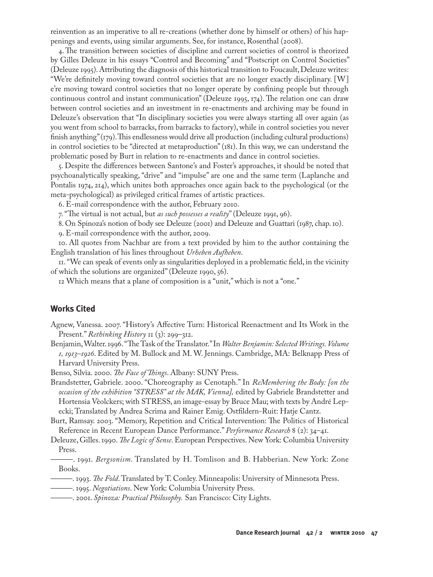reinvention as an imperative to all re-creations (whether done by himself or others) of his happenings and events, using similar arguments. See, for instance, Rosenthal (2008).

4.The transition between societies of discipline and current societies of control is theorized by Gilles Deleuze in his essays "Control and Becoming" and "Postscript on Control Societies" (Deleuze 1995). Attributing the diagnosis of this historical transition to Foucault, Deleuze writes: "We're definitely moving toward control societies that are no longer exactly disciplinary. [W] e're moving toward control societies that no longer operate by confining people but through continuous control and instant communication" (Deleuze 1995, 174). The relation one can draw between control societies and an investment in re-enactments and archiving may be found in Deleuze's observation that "In disciplinary societies you were always starting all over again (as you went from school to barracks, from barracks to factory), while in control societies you never finish anything" (179). This endlessness would drive all production (including cultural productions) in control societies to be "directed at metaproduction" (181). In this way, we can understand the problematic posed by Burt in relation to re-enactments and dance in control societies.

5. Despite the differences between Santone's and Foster's approaches, it should be noted that psychoanalytically speaking, "drive" and "impulse" are one and the same term (Laplanche and Pontalis 1974, 214), which unites both approaches once again back to the psychological (or the meta-psychological) as privileged critical frames of artistic practices.

6. E-mail correspondence with the author, February 2010.

7."The virtual is not actual, but *as such possesses a reality*" (Deleuze 1991, 96).

8. On Spinoza's notion of body see Deleuze (2001) and Deleuze and Guattari (1987, chap. 10).

9. E-mail correspondence with the author, 2009.

10. All quotes from Nachbar are from a text provided by him to the author containing the English translation of his lines throughout *Urheben Aufheben*.

11."We can speak of events only as singularities deployed in a problematic field, in the vicinity of which the solutions are organized" (Deleuze 1990, 56).

12 Which means that a plane of composition is a "unit," which is not a "one."

#### **Works Cited**

- Agnew, Vanessa. 2007. "History's Affective Turn: Historical Reenactment and Its Work in the Present." *Rethinking History* II (3): 299–312.
- Benjamin, Walter. 1996. "The Task of the Translator." In *Walter Benjamin: Selected Writings. Volume 1, 1913–1926*. Edited by M. Bullock and M. W. Jennings. Cambridge, MA: Belknapp Press of Harvard University Press.

Benso, Silvia. 2000. *The Face of Things*. Albany: SUNY Press.

- Brandstetter, Gabriele. 2000. "Choreography as Cenotaph." In *ReMembering the Body: [on the occasion of the exhibition "STRESS" at the MAK, Vienna],* edited by Gabriele Brandstetter and Hortensia Vèolckers; with STRESS, an image-essay by Bruce Mau; with texts by André Lepecki; Translated by Andrea Scrima and Rainer Emig. Ostfildern-Ruit: Hatje Cantz.
- Burt, Ramsay. 2003. "Memory, Repetition and Critical Intervention: The Politics of Historical Reference in Recent European Dance Performance." *Performance Research* 8 (2): 34–41.
- Deleuze, Gilles. 1990. *The Logic of Sense*. European Perspectives. New York: Columbia University Press.
- ———. 1991. *Bergsonism*. Translated by H. Tomlison and B. Habberian. New York: Zone Books.
- ———. 1993. *The Fold*. Translated by T. Conley. Minneapolis: University of Minnesota Press.
- ———. 1995. *Negotiations*. New York: Columbia University Press.
- ———. 2001. *Spinoza: Practical Philosophy.* San Francisco: City Lights.